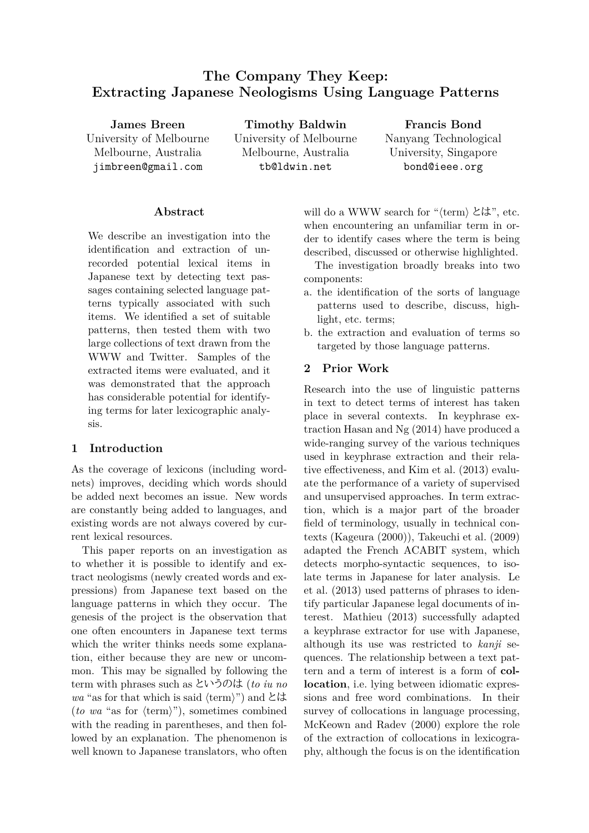# **The Company They Keep: Extracting Japanese Neologisms Using Language Patterns**

**James Breen** University of Melbourne Melbourne, Australia jimbreen@gmail.com

**Timothy Baldwin** University of Melbourne Melbourne, Australia tb@ldwin.net

**Francis Bond** Nanyang Technological University, Singapore bond@ieee.org

### **Abstract**

We describe an investigation into the identification and extraction of unrecorded potential lexical items in Japanese text by detecting text passages containing selected language patterns typically associated with such items. We identified a set of suitable patterns, then tested them with two large collections of text drawn from the WWW and Twitter. Samples of the extracted items were evaluated, and it was demonstrated that the approach has considerable potential for identifying terms for later lexicographic analysis.

#### **1 Introduction**

As the coverage of lexicons (including wordnets) improves, deciding which words should be added next becomes an issue. New words are constantly being added to languages, and existing words are not always covered by current lexical resources.

This paper reports on an investigation as to whether it is possible to identify and extract neologisms (newly created words and expressions) from Japanese text based on the language patterns in which they occur. The genesis of the project is the observation that one often encounters in Japanese text terms which the writer thinks needs some explanation, either because they are new or uncommon. This may be signalled by following the term with phrases such as というのは (*to iu no wa* "as for that which is said *⟨*term*⟩*") and とは (*to wa* "as for *⟨*term*⟩*"), sometimes combined with the reading in parentheses, and then followed by an explanation. The phenomenon is well known to Japanese translators, who often will do a WWW search for "*⟨*term*⟩* とは", etc. when encountering an unfamiliar term in order to identify cases where the term is being described, discussed or otherwise highlighted.

The investigation broadly breaks into two components:

- a. the identification of the sorts of language patterns used to describe, discuss, highlight, etc. terms;
- b. the extraction and evaluation of terms so targeted by those language patterns.

### **2 Prior Work**

Research into the use of linguistic patterns in text to detect terms of interest has taken place in several contexts. In keyphrase extraction Hasan and Ng (2014) have produced a wide-ranging survey of the various techniques used in keyphrase extraction and their relative effectiveness, and Kim et al. (2013) evaluate the performance of a variety of supervised and unsupervised approaches. In term extraction, which is a major part of the broader field of terminology, usually in technical contexts (Kageura (2000)), Takeuchi et al. (2009) adapted the French ACABIT system, which detects morpho-syntactic sequences, to isolate terms in Japanese for later analysis. Le et al. (2013) used patterns of phrases to identify particular Japanese legal documents of interest. Mathieu (2013) successfully adapted a keyphrase extractor for use with Japanese, although its use was restricted to *kanji* sequences. The relationship between a text pattern and a term of interest is a form of **collocation**, i.e. lying between idiomatic expressions and free word combinations. In their survey of collocations in language processing, McKeown and Radev (2000) explore the role of the extraction of collocations in lexicography, although the focus is on the identification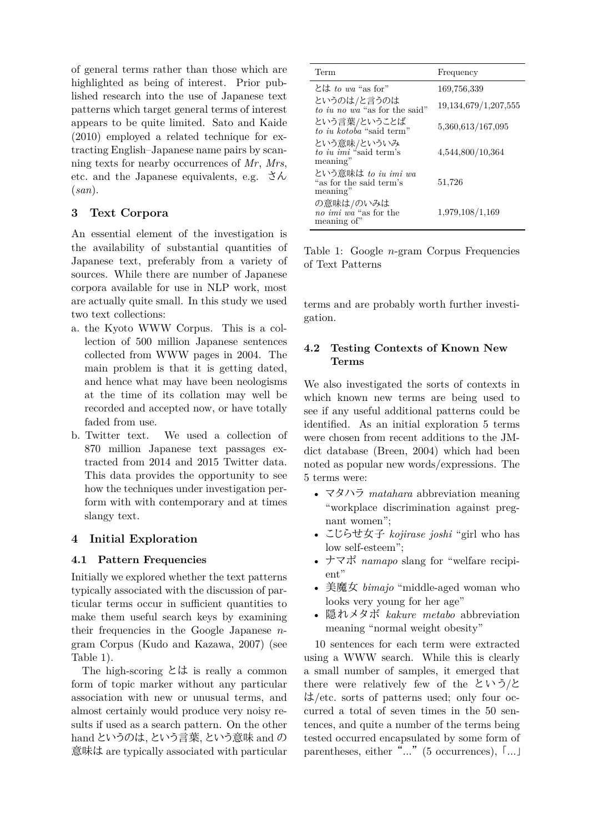of general terms rather than those which are highlighted as being of interest. Prior published research into the use of Japanese text patterns which target general terms of interest appears to be quite limited. Sato and Kaide (2010) employed a related technique for extracting English–Japanese name pairs by scanning texts for nearby occurrences of *Mr*, *Mrs*, etc. and the Japanese equivalents, e.g.  $\forall \lambda$ (*san*).

## **3 Text Corpora**

An essential element of the investigation is the availability of substantial quantities of Japanese text, preferably from a variety of sources. While there are number of Japanese corpora available for use in NLP work, most are actually quite small. In this study we used two text collections:

- a. the Kyoto WWW Corpus. This is a collection of 500 million Japanese sentences collected from WWW pages in 2004. The main problem is that it is getting dated, and hence what may have been neologisms at the time of its collation may well be recorded and accepted now, or have totally faded from use.
- b. Twitter text. We used a collection of 870 million Japanese text passages extracted from 2014 and 2015 Twitter data. This data provides the opportunity to see how the techniques under investigation perform with with contemporary and at times slangy text.

# **4 Initial Exploration**

## **4.1 Pattern Frequencies**

Initially we explored whether the text patterns typically associated with the discussion of particular terms occur in sufficient quantities to make them useful search keys by examining their frequencies in the Google Japanese *n*gram Corpus (Kudo and Kazawa, 2007) (see Table 1).

The high-scoring とは is really a common form of topic marker without any particular association with new or unusual terms, and almost certainly would produce very noisy results if used as a search pattern. On the other hand というのは, という言葉, という意味 and の 意味は are typically associated with particular

| Term                                                       | Frequency                |
|------------------------------------------------------------|--------------------------|
| とは to wa "as for"                                          | 169,756,339              |
| というのは/と言うのは<br>to iu no wa "as for the said"               | 19, 134, 679/1, 207, 555 |
| という言葉/ということば<br>to in kotoba "said term"                   | 5,360,613/167,095        |
| という意味/といういみ<br>to iu imi "said term's<br>meaning"          | 4,544,800/10,364         |
| という意味は to iu imi wa<br>"as for the said term's<br>meaning" | 51,726                   |
| の意味は/のいみは<br>no imi wa "as for the<br>meaning of"          | 1,979,108/1,169          |

Table 1: Google *n*-gram Corpus Frequencies of Text Patterns

terms and are probably worth further investigation.

# **4.2 Testing Contexts of Known New Terms**

We also investigated the sorts of contexts in which known new terms are being used to see if any useful additional patterns could be identified. As an initial exploration 5 terms were chosen from recent additions to the JMdict database (Breen, 2004) which had been noted as popular new words/expressions. The 5 terms were:

- マタハラ *matahara* abbreviation meaning "workplace discrimination against pregnant women";
- こじらせ女子 *kojirase joshi* "girl who has low self-esteem";
- ナマポ *namapo* slang for "welfare recipient"
- 美魔女 *bimajo* "middle-aged woman who looks very young for her age"
- 隠れメタボ *kakure metabo* abbreviation meaning "normal weight obesity"

10 sentences for each term were extracted using a WWW search. While this is clearly a small number of samples, it emerged that there were relatively few of the というと は/etc. sorts of patterns used; only four occurred a total of seven times in the 50 sentences, and quite a number of the terms being tested occurred encapsulated by some form of parentheses, either "..." (5 occurrences), [...]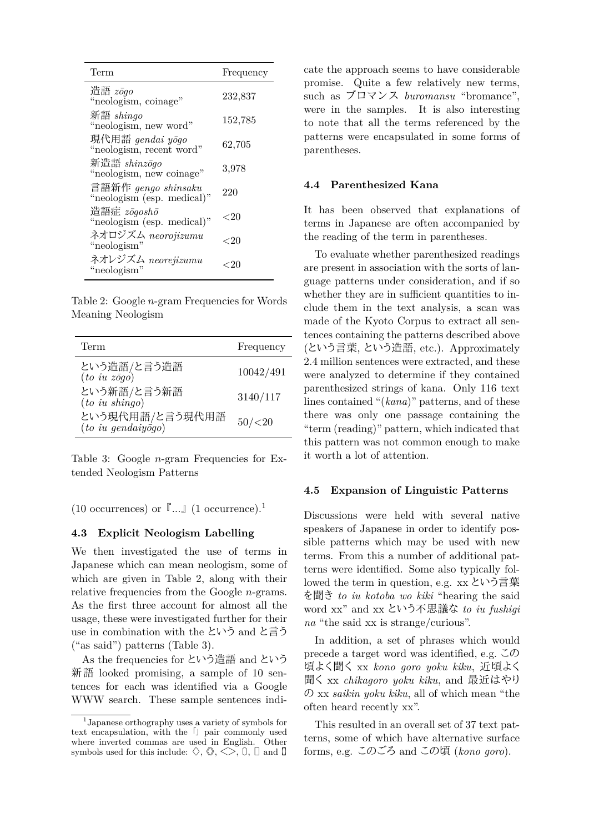| Term                                              | Frequency |
|---------------------------------------------------|-----------|
| 造語 zōgo<br>"neologism, coinage"                   | 232,837   |
| 新語 shingo<br>"neologism, new word"                | 152,785   |
| 現代用語 gendai yōgo<br>"neologism, recent word"      | 62,705    |
| 新造語 shinzōgo<br>"neologism, new coinage"          | 3,978     |
| 言語新作 gengo shinsaku<br>"neologism (esp. medical)" | 220       |
| 造語症 zōgoshō<br>"neologism (esp. medical)"         | ${<}20$   |
| ネオロジズム neorojizumu<br>"neologism"                 | ${<}20$   |
| ネオレジズム neorejizumu<br>"neologism"                 | ${<}20$   |

Table 2: Google *n*-gram Frequencies for Words Meaning Neologism

| Term                                  | Frequency |
|---------------------------------------|-----------|
| という造語/と言う造語<br>(to iu zōgo)           | 10042/491 |
| という新語/と言う新語<br>(to iu shingo)         | 3140/117  |
| という現代用語/と言う現代用語<br>(to iu gendaiyogo) | 50/(20)   |

Table 3: Google *n*-gram Frequencies for Extended Neologism Patterns

(10 occurrences) or  $\lceil ... \rceil$  (1 occurrence).<sup>1</sup>

#### **4.3 Explicit Neologism Labelling**

We then investigated the use of terms in Japanese which can mean neologism, some of which are given in Table 2, along with their relative frequencies from the Google *n*-grams. As the first three account for almost all the usage, these were investigated further for their use in combination with the という and と言う ("as said") patterns (Table 3).

As the frequencies for という造語 and という 新語 looked promising, a sample of 10 sentences for each was identified via a Google WWW search. These sample sentences indicate the approach seems to have considerable promise. Quite a few relatively new terms, such as ブロマンス *buromansu* "bromance", were in the samples. It is also interesting to note that all the terms referenced by the patterns were encapsulated in some forms of parentheses.

#### **4.4 Parenthesized Kana**

It has been observed that explanations of terms in Japanese are often accompanied by the reading of the term in parentheses.

To evaluate whether parenthesized readings are present in association with the sorts of language patterns under consideration, and if so whether they are in sufficient quantities to include them in the text analysis, a scan was made of the Kyoto Corpus to extract all sentences containing the patterns described above (という言葉, という造語, etc.). Approximately 2.4 million sentences were extracted, and these were analyzed to determine if they contained parenthesized strings of kana. Only 116 text lines contained "(*kana*)" patterns, and of these there was only one passage containing the "term (reading)" pattern, which indicated that this pattern was not common enough to make it worth a lot of attention.

#### **4.5 Expansion of Linguistic Patterns**

Discussions were held with several native speakers of Japanese in order to identify possible patterns which may be used with new terms. From this a number of additional patterns were identified. Some also typically followed the term in question, e.g. xx という言葉 を聞き *to iu kotoba wo kiki* "hearing the said word xx" and xx という不思議な *to iu fushigi na* "the said xx is strange/curious".

In addition, a set of phrases which would precede a target word was identified, e.g. この 頃よく聞く xx *kono goro yoku kiku*, 近頃よく 聞く xx *chikagoro yoku kiku*, and 最近はやり の xx *saikin yoku kiku*, all of which mean "the often heard recently xx".

This resulted in an overall set of 37 text patterns, some of which have alternative surface forms, e.g. このごろ and この頃 (*kono goro*).

<sup>1</sup> Japanese orthography uses a variety of symbols for text encapsulation, with the 「」 pair commonly used where inverted commas are used in English. Other symbols used for this include:  $\Diamond$ ,  $\Diamond$ ,  $\Diamond$ ,  $\Diamond$ ,  $\Box$  and  $\Box$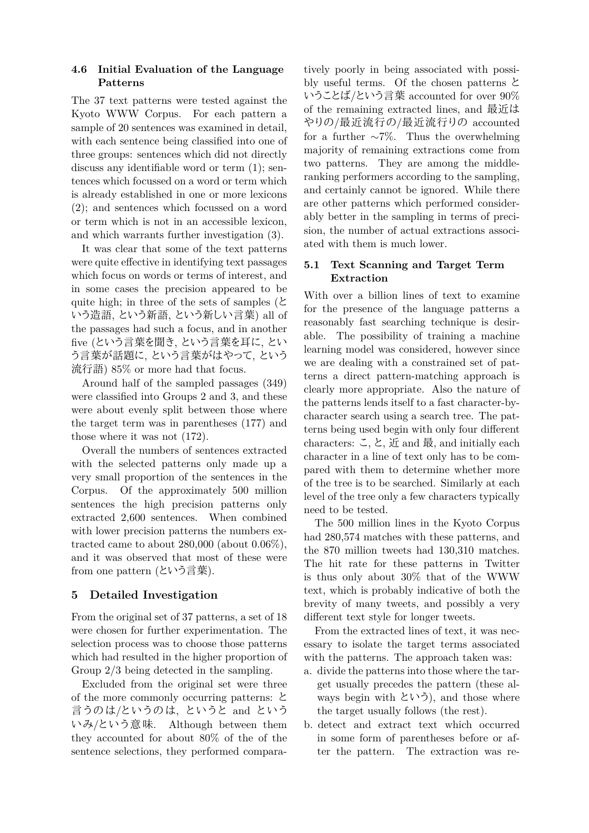### **4.6 Initial Evaluation of the Language Patterns**

The 37 text patterns were tested against the Kyoto WWW Corpus. For each pattern a sample of 20 sentences was examined in detail, with each sentence being classified into one of three groups: sentences which did not directly discuss any identifiable word or term (1); sentences which focussed on a word or term which is already established in one or more lexicons (2); and sentences which focussed on a word or term which is not in an accessible lexicon, and which warrants further investigation (3).

It was clear that some of the text patterns were quite effective in identifying text passages which focus on words or terms of interest, and in some cases the precision appeared to be quite high; in three of the sets of samples ( $\epsilon$ ) いう造語, という新語, という新しい言葉) all of the passages had such a focus, and in another five (という言葉を聞き, という言葉を耳に, とい う言葉が話題に, という言葉がはやって, という 流行語) 85% or more had that focus.

Around half of the sampled passages (349) were classified into Groups 2 and 3, and these were about evenly split between those where the target term was in parentheses (177) and those where it was not (172).

Overall the numbers of sentences extracted with the selected patterns only made up a very small proportion of the sentences in the Corpus. Of the approximately 500 million sentences the high precision patterns only extracted 2,600 sentences. When combined with lower precision patterns the numbers extracted came to about 280,000 (about 0.06%), and it was observed that most of these were from one pattern (という言葉).

## **5 Detailed Investigation**

From the original set of 37 patterns, a set of 18 were chosen for further experimentation. The selection process was to choose those patterns which had resulted in the higher proportion of Group 2/3 being detected in the sampling.

Excluded from the original set were three of the more commonly occurring patterns: と 言うのは/というのは、というと and という いみ/とい う意味. Although between them they accounted for about 80% of the of the sentence selections, they performed compara-

tively poorly in being associated with possibly useful terms. Of the chosen patterns と いうことば/という言葉 accounted for over 90% of the remaining extracted lines, and 最近は やりの/最近流行の/最近流行りの accounted for a further *∼*7%. Thus the overwhelming majority of remaining extractions come from two patterns. They are among the middleranking performers according to the sampling, and certainly cannot be ignored. While there are other patterns which performed considerably better in the sampling in terms of precision, the number of actual extractions associated with them is much lower.

## **5.1 Text Scanning and Target Term Extraction**

With over a billion lines of text to examine for the presence of the language patterns a reasonably fast searching technique is desirable. The possibility of training a machine learning model was considered, however since we are dealing with a constrained set of patterns a direct pattern-matching approach is clearly more appropriate. Also the nature of the patterns lends itself to a fast character-bycharacter search using a search tree. The patterns being used begin with only four different characters: こ, と, 近 and 最, and initially each character in a line of text only has to be compared with them to determine whether more of the tree is to be searched. Similarly at each level of the tree only a few characters typically need to be tested.

The 500 million lines in the Kyoto Corpus had 280,574 matches with these patterns, and the 870 million tweets had 130,310 matches. The hit rate for these patterns in Twitter is thus only about 30% that of the WWW text, which is probably indicative of both the brevity of many tweets, and possibly a very different text style for longer tweets.

From the extracted lines of text, it was necessary to isolate the target terms associated with the patterns. The approach taken was:

- a. divide the patterns into those where the target usually precedes the pattern (these always begin with という), and those where the target usually follows (the rest).
- b. detect and extract text which occurred in some form of parentheses before or after the pattern. The extraction was re-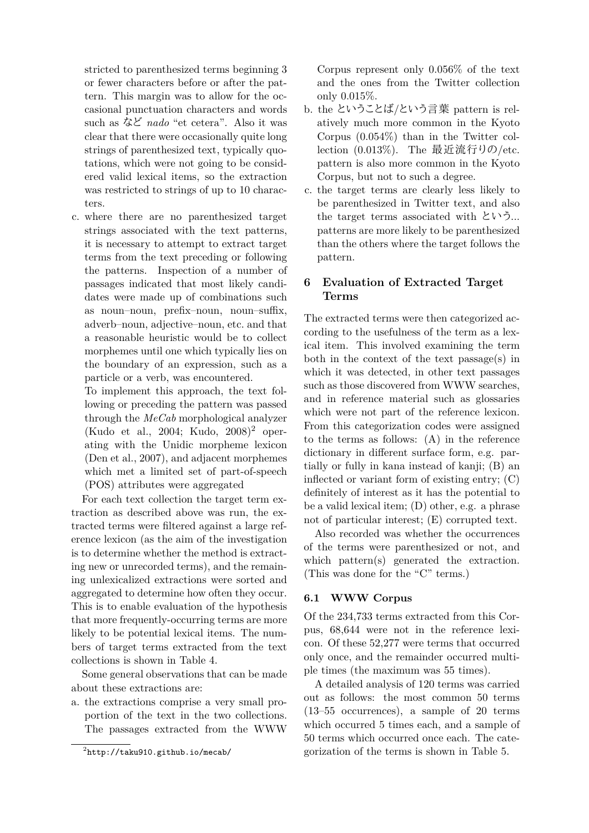stricted to parenthesized terms beginning 3 or fewer characters before or after the pattern. This margin was to allow for the occasional punctuation characters and words such as など *nado* "et cetera". Also it was clear that there were occasionally quite long strings of parenthesized text, typically quotations, which were not going to be considered valid lexical items, so the extraction was restricted to strings of up to 10 characters.

c. where there are no parenthesized target strings associated with the text patterns, it is necessary to attempt to extract target terms from the text preceding or following the patterns. Inspection of a number of passages indicated that most likely candidates were made up of combinations such as noun–noun, prefix–noun, noun–suffix, adverb–noun, adjective–noun, etc. and that a reasonable heuristic would be to collect morphemes until one which typically lies on the boundary of an expression, such as a particle or a verb, was encountered.

To implement this approach, the text following or preceding the pattern was passed through the *MeCab* morphological analyzer (Kudo et al., 2004; Kudo,  $2008$ )<sup>2</sup> operating with the Unidic morpheme lexicon (Den et al., 2007), and adjacent morphemes which met a limited set of part-of-speech (POS) attributes were aggregated

For each text collection the target term extraction as described above was run, the extracted terms were filtered against a large reference lexicon (as the aim of the investigation is to determine whether the method is extracting new or unrecorded terms), and the remaining unlexicalized extractions were sorted and aggregated to determine how often they occur. This is to enable evaluation of the hypothesis that more frequently-occurring terms are more likely to be potential lexical items. The numbers of target terms extracted from the text collections is shown in Table 4.

Some general observations that can be made about these extractions are:

a. the extractions comprise a very small proportion of the text in the two collections. The passages extracted from the WWW Corpus represent only 0.056% of the text and the ones from the Twitter collection only 0.015%.

- b. the ということば/という言葉 pattern is relatively much more common in the Kyoto Corpus (0.054%) than in the Twitter collection (0.013%). The 最近流行りの/etc. pattern is also more common in the Kyoto Corpus, but not to such a degree.
- c. the target terms are clearly less likely to be parenthesized in Twitter text, and also the target terms associated with という... patterns are more likely to be parenthesized than the others where the target follows the pattern.

## **6 Evaluation of Extracted Target Terms**

The extracted terms were then categorized according to the usefulness of the term as a lexical item. This involved examining the term both in the context of the text passage(s) in which it was detected, in other text passages such as those discovered from WWW searches, and in reference material such as glossaries which were not part of the reference lexicon. From this categorization codes were assigned to the terms as follows: (A) in the reference dictionary in different surface form, e.g. partially or fully in kana instead of kanji; (B) an inflected or variant form of existing entry; (C) definitely of interest as it has the potential to be a valid lexical item; (D) other, e.g. a phrase not of particular interest; (E) corrupted text.

Also recorded was whether the occurrences of the terms were parenthesized or not, and which pattern(s) generated the extraction. (This was done for the "C" terms.)

### **6.1 WWW Corpus**

Of the 234,733 terms extracted from this Corpus, 68,644 were not in the reference lexicon. Of these 52,277 were terms that occurred only once, and the remainder occurred multiple times (the maximum was 55 times).

A detailed analysis of 120 terms was carried out as follows: the most common 50 terms (13–55 occurrences), a sample of 20 terms which occurred 5 times each, and a sample of 50 terms which occurred once each. The categorization of the terms is shown in Table 5.

 $^{2}$ http://taku $910$ .github.io/mecab/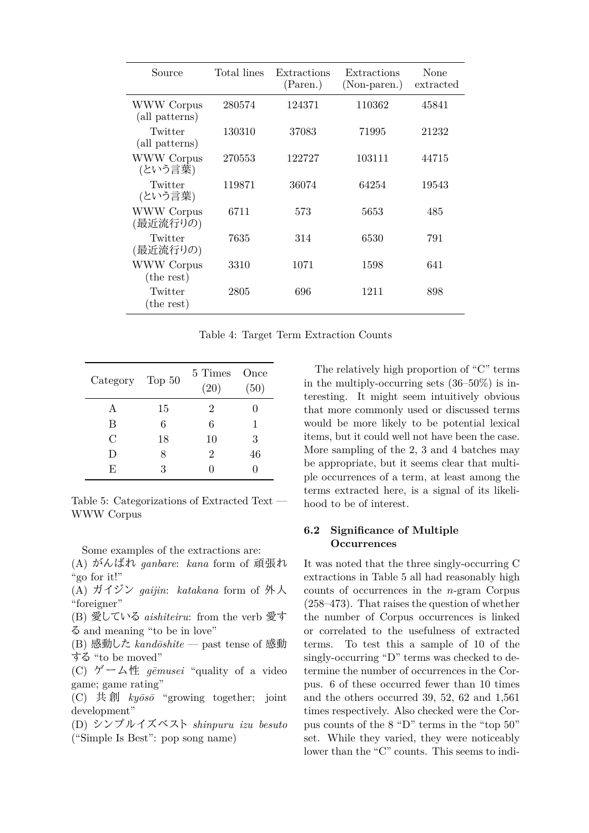| Source                          | Total lines | Extractions<br>(Paren.) | Extractions<br>(Non-paren.) | None<br>extracted |
|---------------------------------|-------------|-------------------------|-----------------------------|-------------------|
| WWW Corpus<br>(all patterns)    | 280574      | 124371                  | 110362                      | 45841             |
| Twitter<br>(all patterns)       | 130310      | 37083                   | 71995                       | 21232             |
| <b>WWW Corpus</b><br>(という言葉)    | 270553      | 122727                  | 103111                      | 44715             |
| Twitter<br>(という言葉)              | 119871      | 36074                   | 64254                       | 19543             |
| <b>WWW Corpus</b><br>(最近流行りの)   | 6711        | 573                     | 5653                        | 485               |
| Twitter<br>(最近流行りの)             | 7635        | 314                     | 6530                        | 791               |
| <b>WWW</b> Corpus<br>(the rest) | 3310        | 1071                    | 1598                        | 641               |
| Twitter<br>(the rest)           | 2805        | 696                     | 1211                        | 898               |

Table 4: Target Term Extraction Counts

| Category Top 50 |    | 5 Times<br>(20) | Once<br>(50) |
|-----------------|----|-----------------|--------------|
| A               | 15 | 2               |              |
| В               | 6  | 6               | 1            |
| $\rm C$         | 18 | 10              | 3            |
| D               | 8  | $\overline{2}$  | 46           |
| F,              | 3  |                 |              |

Table 5: Categorizations of Extracted Text — WWW Corpus

Some examples of the extractions are:

(A) がんばれ *ganbare*: *kana* form of 頑張れ "go for it!"

(A) ガイジン *gaijin*: *katakana* form of 外人 "foreigner"

(B) 愛している *aishiteiru*: from the verb 愛す る and meaning "to be in love"

- (B) 感動した *kandōshite* past tense of 感動 する "to be moved"
- (C) ゲ ー ム性 *gēmusei* "quality of a video game; game rating"

(C) 共 創 *kyōsō* "growing together; joint development"

(D) シンプルイズベスト *shinpuru izu besuto* ("Simple Is Best": pop song name)

The relatively high proportion of "C" terms in the multiply-occurring sets (36–50%) is interesting. It might seem intuitively obvious that more commonly used or discussed terms would be more likely to be potential lexical items, but it could well not have been the case. More sampling of the 2, 3 and 4 batches may be appropriate, but it seems clear that multiple occurrences of a term, at least among the terms extracted here, is a signal of its likelihood to be of interest.

### **6.2 Significance of Multiple Occurrences**

It was noted that the three singly-occurring C extractions in Table 5 all had reasonably high counts of occurrences in the *n*-gram Corpus (258–473). That raises the question of whether the number of Corpus occurrences is linked or correlated to the usefulness of extracted terms. To test this a sample of 10 of the singly-occurring "D" terms was checked to determine the number of occurrences in the Corpus. 6 of these occurred fewer than 10 times and the others occurred 39, 52, 62 and 1,561 times respectively. Also checked were the Corpus counts of the 8 "D" terms in the "top 50" set. While they varied, they were noticeably lower than the "C" counts. This seems to indi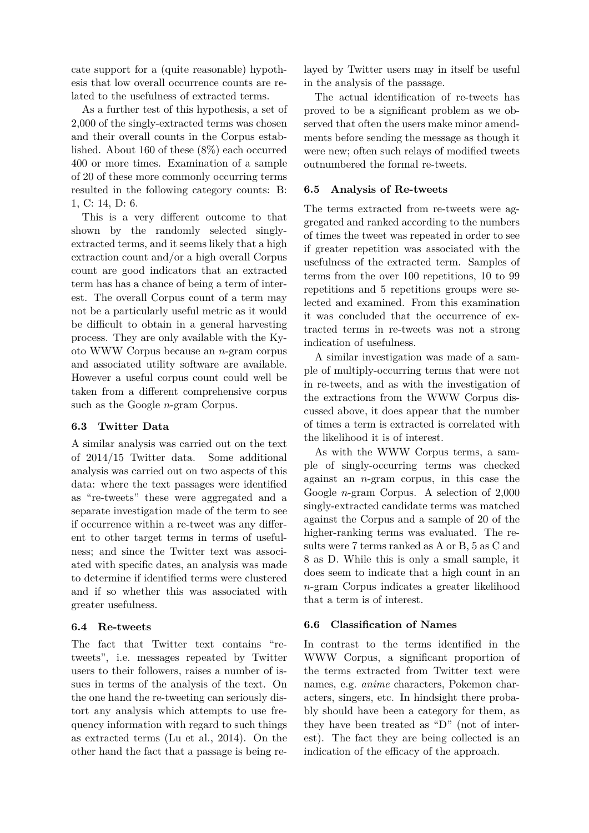cate support for a (quite reasonable) hypothesis that low overall occurrence counts are related to the usefulness of extracted terms.

As a further test of this hypothesis, a set of 2,000 of the singly-extracted terms was chosen and their overall counts in the Corpus established. About 160 of these (8%) each occurred 400 or more times. Examination of a sample of 20 of these more commonly occurring terms resulted in the following category counts: B: 1, C: 14, D: 6.

This is a very different outcome to that shown by the randomly selected singlyextracted terms, and it seems likely that a high extraction count and/or a high overall Corpus count are good indicators that an extracted term has has a chance of being a term of interest. The overall Corpus count of a term may not be a particularly useful metric as it would be difficult to obtain in a general harvesting process. They are only available with the Kyoto WWW Corpus because an *n*-gram corpus and associated utility software are available. However a useful corpus count could well be taken from a different comprehensive corpus such as the Google *n*-gram Corpus.

### **6.3 Twitter Data**

A similar analysis was carried out on the text of 2014/15 Twitter data. Some additional analysis was carried out on two aspects of this data: where the text passages were identified as "re-tweets" these were aggregated and a separate investigation made of the term to see if occurrence within a re-tweet was any different to other target terms in terms of usefulness; and since the Twitter text was associated with specific dates, an analysis was made to determine if identified terms were clustered and if so whether this was associated with greater usefulness.

#### **6.4 Re-tweets**

The fact that Twitter text contains "retweets", i.e. messages repeated by Twitter users to their followers, raises a number of issues in terms of the analysis of the text. On the one hand the re-tweeting can seriously distort any analysis which attempts to use frequency information with regard to such things as extracted terms (Lu et al., 2014). On the other hand the fact that a passage is being re-

layed by Twitter users may in itself be useful in the analysis of the passage.

The actual identification of re-tweets has proved to be a significant problem as we observed that often the users make minor amendments before sending the message as though it were new; often such relays of modified tweets outnumbered the formal re-tweets.

### **6.5 Analysis of Re-tweets**

The terms extracted from re-tweets were aggregated and ranked according to the numbers of times the tweet was repeated in order to see if greater repetition was associated with the usefulness of the extracted term. Samples of terms from the over 100 repetitions, 10 to 99 repetitions and 5 repetitions groups were selected and examined. From this examination it was concluded that the occurrence of extracted terms in re-tweets was not a strong indication of usefulness.

A similar investigation was made of a sample of multiply-occurring terms that were not in re-tweets, and as with the investigation of the extractions from the WWW Corpus discussed above, it does appear that the number of times a term is extracted is correlated with the likelihood it is of interest.

As with the WWW Corpus terms, a sample of singly-occurring terms was checked against an *n*-gram corpus, in this case the Google *n*-gram Corpus. A selection of 2,000 singly-extracted candidate terms was matched against the Corpus and a sample of 20 of the higher-ranking terms was evaluated. The results were 7 terms ranked as A or B, 5 as C and 8 as D. While this is only a small sample, it does seem to indicate that a high count in an *n*-gram Corpus indicates a greater likelihood that a term is of interest.

#### **6.6 Classification of Names**

In contrast to the terms identified in the WWW Corpus, a significant proportion of the terms extracted from Twitter text were names, e.g. *anime* characters, Pokemon characters, singers, etc. In hindsight there probably should have been a category for them, as they have been treated as "D" (not of interest). The fact they are being collected is an indication of the efficacy of the approach.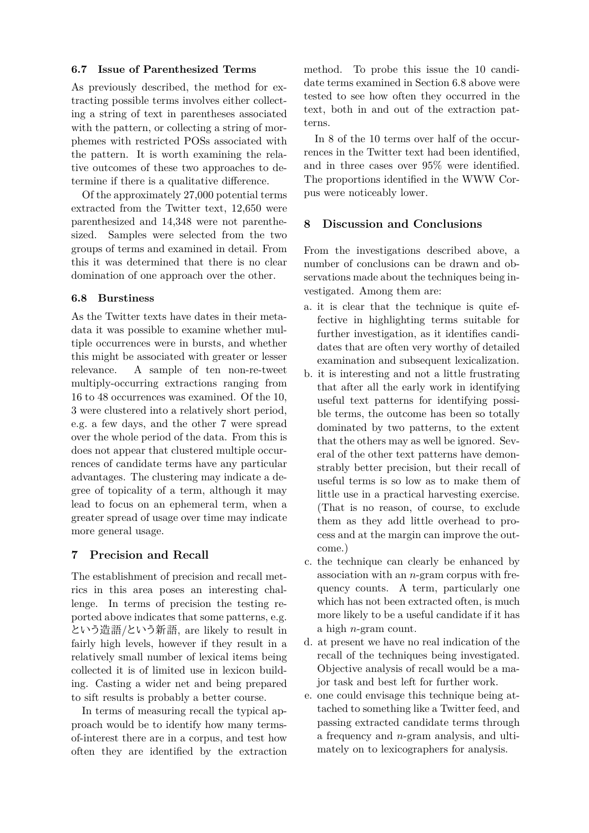### **6.7 Issue of Parenthesized Terms**

As previously described, the method for extracting possible terms involves either collecting a string of text in parentheses associated with the pattern, or collecting a string of morphemes with restricted POSs associated with the pattern. It is worth examining the relative outcomes of these two approaches to determine if there is a qualitative difference.

Of the approximately 27,000 potential terms extracted from the Twitter text, 12,650 were parenthesized and 14,348 were not parenthesized. Samples were selected from the two groups of terms and examined in detail. From this it was determined that there is no clear domination of one approach over the other.

### **6.8 Burstiness**

As the Twitter texts have dates in their metadata it was possible to examine whether multiple occurrences were in bursts, and whether this might be associated with greater or lesser relevance. A sample of ten non-re-tweet multiply-occurring extractions ranging from 16 to 48 occurrences was examined. Of the 10, 3 were clustered into a relatively short period, e.g. a few days, and the other 7 were spread over the whole period of the data. From this is does not appear that clustered multiple occurrences of candidate terms have any particular advantages. The clustering may indicate a degree of topicality of a term, although it may lead to focus on an ephemeral term, when a greater spread of usage over time may indicate more general usage.

### **7 Precision and Recall**

The establishment of precision and recall metrics in this area poses an interesting challenge. In terms of precision the testing reported above indicates that some patterns, e.g. という造語/という新語, are likely to result in fairly high levels, however if they result in a relatively small number of lexical items being collected it is of limited use in lexicon building. Casting a wider net and being prepared to sift results is probably a better course.

In terms of measuring recall the typical approach would be to identify how many termsof-interest there are in a corpus, and test how often they are identified by the extraction method. To probe this issue the 10 candidate terms examined in Section 6.8 above were tested to see how often they occurred in the text, both in and out of the extraction patterns.

In 8 of the 10 terms over half of the occurrences in the Twitter text had been identified, and in three cases over 95% were identified. The proportions identified in the WWW Corpus were noticeably lower.

### **8 Discussion and Conclusions**

From the investigations described above, a number of conclusions can be drawn and observations made about the techniques being investigated. Among them are:

- a. it is clear that the technique is quite effective in highlighting terms suitable for further investigation, as it identifies candidates that are often very worthy of detailed examination and subsequent lexicalization.
- b. it is interesting and not a little frustrating that after all the early work in identifying useful text patterns for identifying possible terms, the outcome has been so totally dominated by two patterns, to the extent that the others may as well be ignored. Several of the other text patterns have demonstrably better precision, but their recall of useful terms is so low as to make them of little use in a practical harvesting exercise. (That is no reason, of course, to exclude them as they add little overhead to process and at the margin can improve the outcome.)
- c. the technique can clearly be enhanced by association with an *n*-gram corpus with frequency counts. A term, particularly one which has not been extracted often, is much more likely to be a useful candidate if it has a high *n*-gram count.
- d. at present we have no real indication of the recall of the techniques being investigated. Objective analysis of recall would be a major task and best left for further work.
- e. one could envisage this technique being attached to something like a Twitter feed, and passing extracted candidate terms through a frequency and *n*-gram analysis, and ultimately on to lexicographers for analysis.